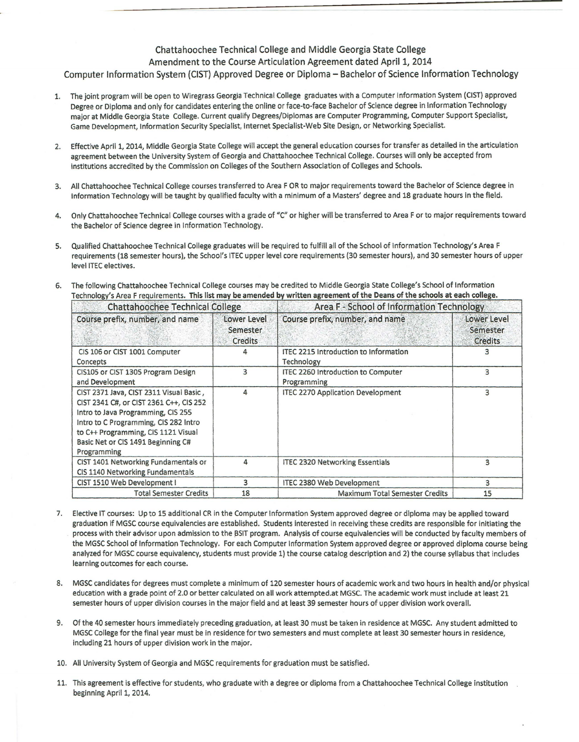## Chattahoochee Technical College and Middle Georgia State College

#### Amendment to the Course Articulation Agreement dated April 1, 2014

#### Computer Information System (CIST) Approved Degree or Diploma- Bachelor of Science Information Technology

- The joint program will be open to Wiregrass Georgia Technical College graduates with a Computer Information System (CIST) approved Degree or Diploma and only for candidates entering the online or face-to-face Bachelor of Science degree in Information Technology major at Middle Georgia State College. Current qualify Degrees/Diplomas are Computer Programming, Computer Support Specialist, Game Development, Information Security Specialist, Internet Specialist-Web Site Design, or Networking Specialist.
- 2. Effective April 1, 2014, Middle Georgia State College will accept the general education courses for transfer as detailed in the articulation agreement between the University System of Georgia and Chattahoochee Technical College. Courses will only be accepted from institutions accredited by the Commission on Colleges of the Southern Association of Colleges and Schools.
- 3. All Chattahoochee Technical College courses transferred to Area F OR to major requirements toward the Bachelor of Science degree in Information Technology will be taught by qualified faculty with a minimum of a Masters' degree and 18 graduate hours in the field.
- 4. Only Chattahoochee Technical College courses with a grade of "C" or higher will be transferred to Area For to major requirements toward the Bachelor of Science degree in Information Technology.
- 5. Qualified Chattahoochee Technical College graduates will be required to fulfill all of the School of Information Technology's Area F requirements (18 semester hours), the School's ITEC upper level core requirements (30 semester hours), and 30 semester hours of upper level ITEC electives.
- 6. The following Chattahoochee Technical College courses may be credited to Middle Georgia State College's School of Information Technology's Area F requirements. This list may be amended by written agreement of the Deans of the schools at each college.

| <b>Chattahoochee Technical College</b>                                                                                                                                                                                                                        |                                    | Area F - School of Information Technology                  |                                           |
|---------------------------------------------------------------------------------------------------------------------------------------------------------------------------------------------------------------------------------------------------------------|------------------------------------|------------------------------------------------------------|-------------------------------------------|
| Course prefix, number, and name                                                                                                                                                                                                                               | Lower Level<br>Semester<br>Credits | Course prefix, number, and name                            | Lower Level<br>Semester<br><b>Credits</b> |
| CIS 106 or CIST 1001 Computer<br>Concepts                                                                                                                                                                                                                     |                                    | <b>ITEC 2215 Introduction to Information</b><br>Technology |                                           |
| CIS105 or CIST 1305 Program Design<br>and Development                                                                                                                                                                                                         | 3                                  | ITEC 2260 Introduction to Computer<br>Programming          | 3                                         |
| CIST 2371 Java, CIST 2311 Visual Basic,<br>CIST 2341 C#, or CIST 2361 C++, CIS 252<br>Intro to Java Programming, CIS 255<br>Intro to C Programming, CIS 282 Intro<br>to C++ Programming, CIS 1121 Visual<br>Basic Net or CIS 1491 Beginning C#<br>Programming | 4                                  | <b>ITEC 2270 Application Development</b>                   | 3                                         |
| CIST 1401 Networking Fundamentals or<br>CIS 1140 Networking Fundamentals                                                                                                                                                                                      | 4                                  | <b>ITEC 2320 Networking Essentials</b>                     | 3                                         |
| CIST 1510 Web Development I                                                                                                                                                                                                                                   | 3                                  | <b>ITEC 2380 Web Development</b>                           | 3                                         |
| <b>Total Semester Credits</b>                                                                                                                                                                                                                                 | 18                                 | <b>Maximum Total Semester Credits</b>                      | 15                                        |

- 7. Elective IT courses: Up to 15 additional CR in the Computer Information System approved degree or diploma may be applied toward graduation if MGSC course equivalencies are established. Students interested in receiving these credits are responsible for initiating the process with their advisor upon admission to the BSIT program. Analysis of course equivalencies will be conducted by faculty members of the MGSC School of Information Technology. For each Computer Information System approved degree or approved diploma course being analyzed for MGSC course equivalency, students must provide 1) the course catalog description and 2) the course syllabus that includes learning outcomes for each course.
- 8. MGSC candidates for degrees must complete a minimum of 120 semester hours of academic work and two hours in health and/or physical education with a grade point of 2.0 or better calculated on all work attempted.at MGSC. The academic work must include at least 21 semester hours of upper division courses in the major field and at least 39 semester hours of upper division work overall.
- 9. Of the 40 semester hours immediately preceding graduation, at least 30 must be taken in residence at MGSC. Any student admitted to MGSC College for the final year must be in residence for two semesters and must complete at least 30 semester hours in residence, including 21 hours of upper division work in the major.
- 10. All University System of Georgia and MGSC requirements for graduation must be satisfied.
- 11. This agreement is effective for students, who graduate with a degree or diploma from a Chattahoochee Technical College institution beginning April 1, 2014.